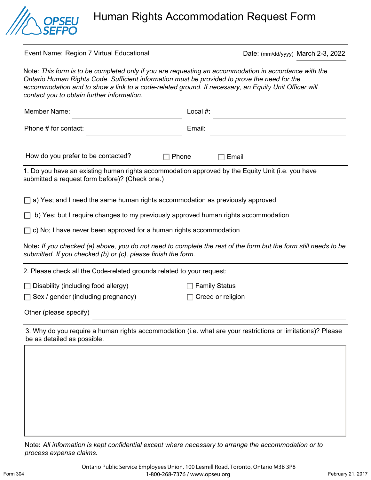

Human Rights Accommodation Request Form

| Event Name: Region 7 Virtual Educational                                                                                                                                                                                                                                                                                                                    | Date: (mm/dd/yyyy) March 2-3, 2022 |
|-------------------------------------------------------------------------------------------------------------------------------------------------------------------------------------------------------------------------------------------------------------------------------------------------------------------------------------------------------------|------------------------------------|
| Note: This form is to be completed only if you are requesting an accommodation in accordance with the<br>Ontario Human Rights Code. Sufficient information must be provided to prove the need for the<br>accommodation and to show a link to a code-related ground. If necessary, an Equity Unit Officer will<br>contact you to obtain further information. |                                    |
| <b>Member Name:</b>                                                                                                                                                                                                                                                                                                                                         | Local #:                           |
| Phone # for contact:                                                                                                                                                                                                                                                                                                                                        | Email:                             |
|                                                                                                                                                                                                                                                                                                                                                             |                                    |
| How do you prefer to be contacted?<br>Phone                                                                                                                                                                                                                                                                                                                 | Email                              |
| 1. Do you have an existing human rights accommodation approved by the Equity Unit (i.e. you have<br>submitted a request form before)? (Check one.)                                                                                                                                                                                                          |                                    |
| a) Yes; and I need the same human rights accommodation as previously approved                                                                                                                                                                                                                                                                               |                                    |
| b) Yes; but I require changes to my previously approved human rights accommodation                                                                                                                                                                                                                                                                          |                                    |
| c) No; I have never been approved for a human rights accommodation                                                                                                                                                                                                                                                                                          |                                    |
| Note: If you checked (a) above, you do not need to complete the rest of the form but the form still needs to be<br>submitted. If you checked (b) or (c), please finish the form.                                                                                                                                                                            |                                    |
| 2. Please check all the Code-related grounds related to your request:                                                                                                                                                                                                                                                                                       |                                    |
| Disability (including food allergy)                                                                                                                                                                                                                                                                                                                         | <b>Family Status</b>               |
| Sex / gender (including pregnancy)                                                                                                                                                                                                                                                                                                                          | Creed or religion                  |
| Other (please specify)                                                                                                                                                                                                                                                                                                                                      |                                    |
| 3. Why do you require a human rights accommodation (i.e. what are your restrictions or limitations)? Please<br>be as detailed as possible.                                                                                                                                                                                                                  |                                    |

Note**:** *All information is kept confidential except where necessary to arrange the accommodation or to process expense claims.*